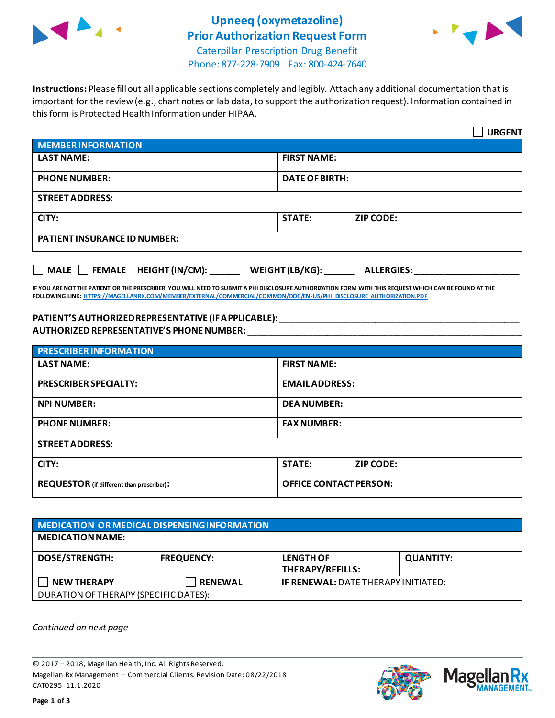

## **Upneeq (oxymetazoline) Prior Authorization Request Form**



Caterpillar Prescription Drug Benefit Phone: 877-228-7909 Fax: 800-424-7640

**Instructions:** Please fill out all applicable sections completely and legibly. Attach any additional documentation that is important for the review (e.g., chart notes or lab data, to support the authorization request). Information contained in this form is Protected Health Information under HIPAA.

|                                                                                   | <b>URGENT</b>                     |  |  |  |
|-----------------------------------------------------------------------------------|-----------------------------------|--|--|--|
| <b>MEMBER INFORMATION</b>                                                         |                                   |  |  |  |
| <b>LAST NAME:</b>                                                                 | <b>FIRST NAME:</b>                |  |  |  |
| <b>PHONE NUMBER:</b>                                                              | <b>DATE OF BIRTH:</b>             |  |  |  |
| <b>STREET ADDRESS:</b>                                                            |                                   |  |  |  |
| CITY:                                                                             | <b>STATE:</b><br><b>ZIP CODE:</b> |  |  |  |
| <b>PATIENT INSURANCE ID NUMBER:</b>                                               |                                   |  |  |  |
| $\Box$ MALE $\Box$ FEMALE HEIGHT (IN/CM):<br>WEIGHT (LB/KG):<br><b>ALLERGIES:</b> |                                   |  |  |  |

**IF YOU ARE NOT THE PATIENT OR THE PRESCRIBER, YOU WILL NEED TO SUBMIT A PHI DISCLOSURE AUTHORIZATION FORM WITH THIS REQUEST WHICH CAN BE FOUND AT THE FOLLOWING LINK[: HTTPS://MAGELLANRX.COM/MEMBER/EXTERNAL/COMMERCIAL/COMMON/DOC/EN-US/PHI\\_DISCLOSURE\\_AUTHORIZATION.PDF](https://magellanrx.com/member/external/commercial/common/doc/en-us/PHI_Disclosure_Authorization.pdf)**

#### **PATIENT'S AUTHORIZED REPRESENTATIVE (IF APPLICABLE):** \_\_\_\_\_\_\_\_\_\_\_\_\_\_\_\_\_\_\_\_\_\_\_\_\_\_\_\_\_\_\_\_\_\_\_\_\_\_\_\_\_\_\_\_\_\_\_\_ **AUTHORIZED REPRESENTATIVE'S PHONE NUMBER:** \_\_\_\_\_\_\_\_\_\_\_\_\_\_\_\_\_\_\_\_\_\_\_\_\_\_\_\_\_\_\_\_\_\_\_\_\_\_\_\_\_\_\_\_\_\_\_\_\_\_\_\_\_\_\_

| <b>PRESCRIBER INFORMATION</b>             |                                   |  |
|-------------------------------------------|-----------------------------------|--|
| <b>LAST NAME:</b>                         | <b>FIRST NAME:</b>                |  |
| <b>PRESCRIBER SPECIALTY:</b>              | <b>EMAIL ADDRESS:</b>             |  |
| <b>NPI NUMBER:</b>                        | <b>DEA NUMBER:</b>                |  |
| <b>PHONE NUMBER:</b>                      | <b>FAX NUMBER:</b>                |  |
| <b>STREET ADDRESS:</b>                    |                                   |  |
| CITY:                                     | <b>STATE:</b><br><b>ZIP CODE:</b> |  |
| REQUESTOR (if different than prescriber): | <b>OFFICE CONTACT PERSON:</b>     |  |

| MEDICATION OR MEDICAL DISPENSING INFORMATION |                   |                                             |                  |  |  |
|----------------------------------------------|-------------------|---------------------------------------------|------------------|--|--|
| <b>MEDICATION NAME:</b>                      |                   |                                             |                  |  |  |
| <b>DOSE/STRENGTH:</b>                        | <b>FREQUENCY:</b> | <b>LENGTH OF</b><br><b>THERAPY/REFILLS:</b> | <b>QUANTITY:</b> |  |  |
| <b>NEW THERAPY</b>                           | <b>RENEWAL</b>    | <b>IF RENEWAL: DATE THERAPY INITIATED:</b>  |                  |  |  |
| DURATION OF THERAPY (SPECIFIC DATES):        |                   |                                             |                  |  |  |

*Continued on next page*

© 2017 – 2018, Magellan Health, Inc. All Rights Reserved. Magellan Rx Management – Commercial Clients. Revision Date: 08/22/2018 CAT0295 11.1.2020



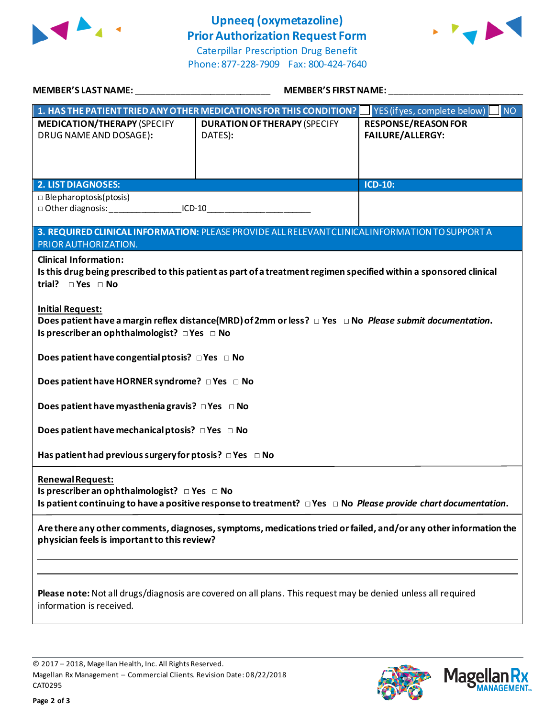

# **Upneeq (oxymetazoline) Prior Authorization Request Form**





| <b>MEMBER'S LAST NAME:</b>                                                                                                                                                                                    | <b>MEMBER'S FIRST NAME:</b>                                                                     |                                                       |  |  |
|---------------------------------------------------------------------------------------------------------------------------------------------------------------------------------------------------------------|-------------------------------------------------------------------------------------------------|-------------------------------------------------------|--|--|
| $\mid$ 1. HAS THE PATIENT TRIED ANY OTHER MEDICATIONS FOR THIS CONDITION?                                                                                                                                     |                                                                                                 | INO <sub>1</sub><br>YES (if yes, complete below)      |  |  |
| <b>MEDICATION/THERAPY (SPECIFY</b><br>DRUG NAME AND DOSAGE):                                                                                                                                                  | <b>DURATION OF THERAPY (SPECIFY</b><br>DATES):                                                  | <b>RESPONSE/REASON FOR</b><br><b>FAILURE/ALLERGY:</b> |  |  |
| <b>2. LIST DIAGNOSES:</b>                                                                                                                                                                                     |                                                                                                 | ICD-10:                                               |  |  |
| $\Box$ Blepharoptosis(ptosis)<br>□ Other diagnosis: ______________________ICD-10_________________________________                                                                                             |                                                                                                 |                                                       |  |  |
| PRIOR AUTHORIZATION.                                                                                                                                                                                          | 3. REQUIRED CLINICAL INFORMATION: PLEASE PROVIDE ALL RELEVANT CLINICAL INFORMATION TO SUPPORT A |                                                       |  |  |
| <b>Clinical Information:</b><br>Is this drug being prescribed to this patient as part of a treatment regimen specified within a sponsored clinical<br>trial? $\square$ Yes $\square$ No                       |                                                                                                 |                                                       |  |  |
| <b>Initial Request:</b><br>Does patient have a margin reflex distance(MRD) of 2mm or less? $\Box$ Yes $\Box$ No Please submit documentation.<br>Is prescriber an ophthalmologist? $\Box$ Yes $\Box$ No        |                                                                                                 |                                                       |  |  |
| Does patient have congential ptosis? $\Box$ Yes $\Box$ No                                                                                                                                                     |                                                                                                 |                                                       |  |  |
| Does patient have HORNER syndrome? DYes DNo                                                                                                                                                                   |                                                                                                 |                                                       |  |  |
| Does patient have myasthenia gravis? $\Box$ Yes $\Box$ No                                                                                                                                                     |                                                                                                 |                                                       |  |  |
| Does patient have mechanical ptosis? DYes DNo                                                                                                                                                                 |                                                                                                 |                                                       |  |  |
| Has patient had previous surgery for ptosis? $\Box$ Yes $\Box$ No                                                                                                                                             |                                                                                                 |                                                       |  |  |
| <b>Renewal Request:</b><br>Is prescriber an ophthalmologist? $\Box$ Yes $\Box$ No<br>Is patient continuing to have a positive response to treatment? $\Box$ Yes $\Box$ No Please provide chart documentation. |                                                                                                 |                                                       |  |  |
| Are there any other comments, diagnoses, symptoms, medications tried or failed, and/or any other information the<br>physician feels is important to this review?                                              |                                                                                                 |                                                       |  |  |
|                                                                                                                                                                                                               |                                                                                                 |                                                       |  |  |
| Please note: Not all drugs/diagnosis are covered on all plans. This request may be denied unless all required<br>information is received.                                                                     |                                                                                                 |                                                       |  |  |

© 2017 – 2018, Magellan Health, Inc. All Rights Reserved. Magellan Rx Management – Commercial Clients. Revision Date: 08/22/2018 CAT0295